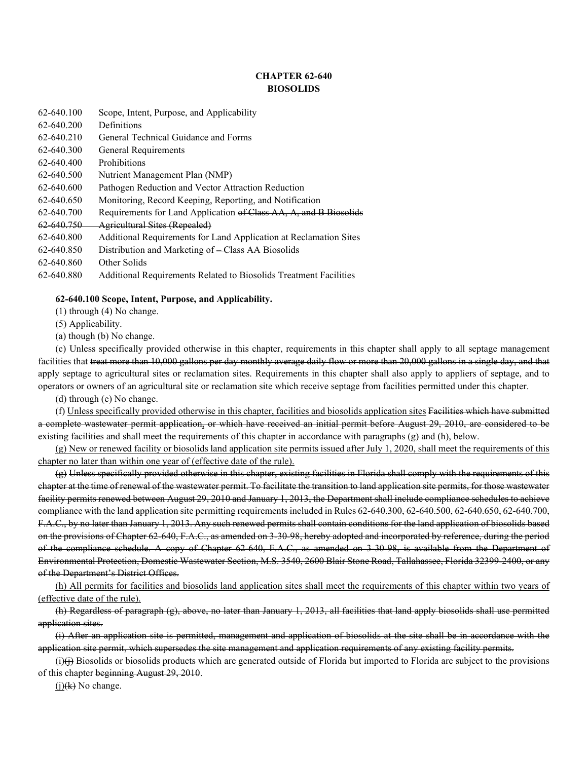# **CHAPTER 62-640 BIOSOLIDS**

| 62-640.100 | Scope, Intent, Purpose, and Applicability                         |
|------------|-------------------------------------------------------------------|
| 62-640.200 | Definitions                                                       |
| 62-640.210 | General Technical Guidance and Forms                              |
| 62-640.300 | <b>General Requirements</b>                                       |
| 62-640.400 | Prohibitions                                                      |
| 62-640.500 | Nutrient Management Plan (NMP)                                    |
| 62-640.600 | Pathogen Reduction and Vector Attraction Reduction                |
| 62-640.650 | Monitoring, Record Keeping, Reporting, and Notification           |
| 62-640.700 | Requirements for Land Application of Class AA, A, and B Biosolids |
| 62 640.750 | <b>Agricultural Sites (Repealed)</b>                              |
| 62-640.800 | Additional Requirements for Land Application at Reclamation Sites |
| 62-640.850 | Distribution and Marketing of —Class AA Biosolids                 |
| 62-640.860 | Other Solids                                                      |
| 62-640.880 | Additional Requirements Related to Biosolids Treatment Facilities |

### **62-640.100 Scope, Intent, Purpose, and Applicability.**

(1) through (4) No change.

(5) Applicability.

(a) though (b) No change.

(c) Unless specifically provided otherwise in this chapter, requirements in this chapter shall apply to all septage management facilities that treat more than 10,000 gallons per day monthly average daily flow or more than 20,000 gallons in a single day, and that apply septage to agricultural sites or reclamation sites. Requirements in this chapter shall also apply to appliers of septage, and to operators or owners of an agricultural site or reclamation site which receive septage from facilities permitted under this chapter.

(d) through (e) No change.

(f) Unless specifically provided otherwise in this chapter, facilities and biosolids application sites Facilities which have submitted a complete wastewater permit application, or which have received an initial permit before August 29, 2010, are considered to be existing facilities and shall meet the requirements of this chapter in accordance with paragraphs  $(g)$  and  $(h)$ , below.

(g) New or renewed facility or biosolids land application site permits issued after July 1, 2020, shall meet the requirements of this chapter no later than within one year of (effective date of the rule).

(g) Unless specifically provided otherwise in this chapter, existing facilities in Florida shall comply with the requirements of this chapter at the time of renewal of the wastewater permit. To facilitate the transition to land application site permits, for those wastewater facility permits renewed between August 29, 2010 and January 1, 2013, the Department shall include compliance schedules to achieve compliance with the land application site permitting requirements included in Rules 62-640.300, 62-640.500, 62-640.650, 62-640.700, F.A.C., by no later than January 1, 2013. Any such renewed permits shall contain conditions for the land application of biosolids based on the provisions of Chapter 62-640, F.A.C., as amended on 3-30-98, hereby adopted and incorporated by reference, during the period of the compliance schedule. A copy of Chapter 62-640, F.A.C., as amended on 3-30-98, is available from the Department of Environmental Protection, Domestic Wastewater Section, M.S. 3540, 2600 Blair Stone Road, Tallahassee, Florida 32399-2400, or any of the Department's District Offices.

(h) All permits for facilities and biosolids land application sites shall meet the requirements of this chapter within two years of (effective date of the rule).

(h) Regardless of paragraph (g), above, no later than January 1, 2013, all facilities that land apply biosolids shall use permitted application sites.

(i) After an application site is permitted, management and application of biosolids at the site shall be in accordance with the application site permit, which supersedes the site management and application requirements of any existing facility permits.

 $(i)$  $(i)$  Biosolids or biosolids products which are generated outside of Florida but imported to Florida are subject to the provisions of this chapter beginning August 29, 2010.

 $(i)$ ( $(k)$ ) No change.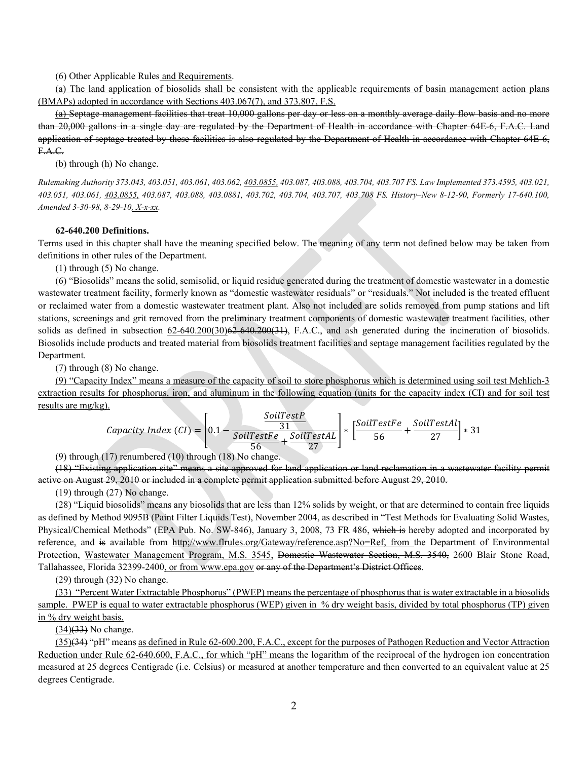(6) Other Applicable Rules and Requirements.

(a) The land application of biosolids shall be consistent with the applicable requirements of basin management action plans (BMAPs) adopted in accordance with Sections 403.067(7), and 373.807, F.S.

(a) Septage management facilities that treat 10,000 gallons per day or less on a monthly average daily flow basis and no more than 20,000 gallons in a single day are regulated by the Department of Health in accordance with Chapter 64E-6, F.A.C. Land application of septage treated by these facilities is also regulated by the Department of Health in accordance with Chapter 64E-6, F.A.C.

(b) through (h) No change.

*Rulemaking Authority 373.043, 403.051, 403.061, 403.062, 403.0855, 403.087, 403.088, 403.704, 403.707 FS. Law Implemented 373.4595, 403.021, 403.051, 403.061, 403.0855, 403.087, 403.088, 403.0881, 403.702, 403.704, 403.707, 403.708 FS. History–New 8-12-90, Formerly 17-640.100, Amended 3-30-98, 8-29-10, X-x-xx.*

### **62-640.200 Definitions.**

Terms used in this chapter shall have the meaning specified below. The meaning of any term not defined below may be taken from definitions in other rules of the Department.

(1) through (5) No change.

(6) "Biosolids" means the solid, semisolid, or liquid residue generated during the treatment of domestic wastewater in a domestic wastewater treatment facility, formerly known as "domestic wastewater residuals" or "residuals." Not included is the treated effluent or reclaimed water from a domestic wastewater treatment plant. Also not included are solids removed from pump stations and lift stations, screenings and grit removed from the preliminary treatment components of domestic wastewater treatment facilities, other solids as defined in subsection  $62-640.200(30)62-640.200(31)$ , F.A.C., and ash generated during the incineration of biosolids. Biosolids include products and treated material from biosolids treatment facilities and septage management facilities regulated by the Department.

(7) through (8) No change.

(9) "Capacity Index" means a measure of the capacity of soil to store phosphorus which is determined using soil test Mehlich-3 extraction results for phosphorus, iron, and aluminum in the following equation (units for the capacity index (CI) and for soil test results are mg/kg).

$$
Capacity Index (CI) = \left[0.1 - \frac{SoilTestP}{\frac{SoilTestFe}{56} + \frac{SoilTestAL}{27}}\right] * \left[\frac{SoilTestFe}{56} + \frac{SoilTestAl}{27}\right] * 31
$$

(9) through (17) renumbered (10) through (18) No change.

(18) "Existing application site" means a site approved for land application or land reclamation in a wastewater facility permit active on August 29, 2010 or included in a complete permit application submitted before August 29, 2010.

(19) through (27) No change.

(28) "Liquid biosolids" means any biosolids that are less than 12% solids by weight, or that are determined to contain free liquids as defined by Method 9095B (Paint Filter Liquids Test), November 2004, as described in "Test Methods for Evaluating Solid Wastes, Physical/Chemical Methods" (EPA Pub. No. SW-846), January 3, 2008, 73 FR 486, which is hereby adopted and incorporated by reference, and is available from http;//www.flrules.org/Gateway/reference.asp?No=Ref, from the Department of Environmental Protection, Wastewater Management Program, M.S. 3545, Domestic Wastewater Section, M.S. 3540, 2600 Blair Stone Road, Tallahassee, Florida 32399-2400, or from www.epa.gov or any of the Department's District Offices.

(29) through (32) No change.

(33) "Percent Water Extractable Phosphorus" (PWEP) means the percentage of phosphorus that is water extractable in a biosolids sample. PWEP is equal to water extractable phosphorus (WEP) given in % dry weight basis, divided by total phosphorus (TP) given in % dry weight basis.

 $(34)(33)$  No change.

(35)(34) "pH" means as defined in Rule 62-600.200, F.A.C., except for the purposes of Pathogen Reduction and Vector Attraction Reduction under Rule 62-640.600, F.A.C., for which "pH" means the logarithm of the reciprocal of the hydrogen ion concentration measured at 25 degrees Centigrade (i.e. Celsius) or measured at another temperature and then converted to an equivalent value at 25 degrees Centigrade.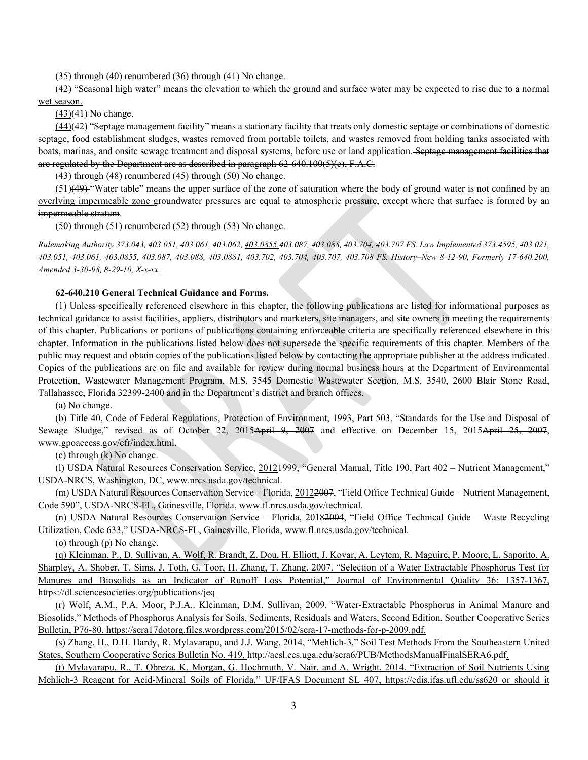(35) through (40) renumbered (36) through (41) No change.

(42) "Seasonal high water" means the elevation to which the ground and surface water may be expected to rise due to a normal

wet season.

 $(43)(41)$  No change.

 $(44)(42)$  "Septage management facility" means a stationary facility that treats only domestic septage or combinations of domestic septage, food establishment sludges, wastes removed from portable toilets, and wastes removed from holding tanks associated with boats, marinas, and onsite sewage treatment and disposal systems, before use or land application. Septage management facilities that are regulated by the Department are as described in paragraph  $62-640.100(5)(e)$ , F.A.C.

(43) through (48) renumbered (45) through (50) No change.

 $(51)(49)$  "Water table" means the upper surface of the zone of saturation where the body of ground water is not confined by an overlying impermeable zone groundwater pressures are equal to atmospheric pressure, except where that surface is formed by an impermeable stratum.

(50) through (51) renumbered (52) through (53) No change.

*Rulemaking Authority 373.043, 403.051, 403.061, 403.062, 403.0855,403.087, 403.088, 403.704, 403.707 FS. Law Implemented 373.4595, 403.021, 403.051, 403.061, 403.0855, 403.087, 403.088, 403.0881, 403.702, 403.704, 403.707, 403.708 FS. History–New 8-12-90, Formerly 17-640.200, Amended 3-30-98, 8-29-10, X-x-xx.*

### **62-640.210 General Technical Guidance and Forms.**

(1) Unless specifically referenced elsewhere in this chapter, the following publications are listed for informational purposes as technical guidance to assist facilities, appliers, distributors and marketers, site managers, and site owners in meeting the requirements of this chapter. Publications or portions of publications containing enforceable criteria are specifically referenced elsewhere in this chapter. Information in the publications listed below does not supersede the specific requirements of this chapter. Members of the public may request and obtain copies of the publications listed below by contacting the appropriate publisher at the address indicated. Copies of the publications are on file and available for review during normal business hours at the Department of Environmental Protection, Wastewater Management Program, M.S. 3545 Domestic Wastewater Section, M.S. 3540, 2600 Blair Stone Road, Tallahassee, Florida 32399-2400 and in the Department's district and branch offices.

(a) No change.

(b) Title 40, Code of Federal Regulations, Protection of Environment, 1993, Part 503, "Standards for the Use and Disposal of Sewage Sludge," revised as of October 22, 2015April 9, 2007 and effective on December 15, 2015April 25, 2007, www.gpoaccess.gov/cfr/index.html.

(c) through (k) No change.

(l) USDA Natural Resources Conservation Service, 20121999, "General Manual, Title 190, Part 402 – Nutrient Management," USDA-NRCS, Washington, DC, www.nrcs.usda.gov/technical.

(m) USDA Natural Resources Conservation Service – Florida, 20122007, "Field Office Technical Guide – Nutrient Management, Code 590", USDA-NRCS-FL, Gainesville, Florida, www.fl.nrcs.usda.gov/technical.

(n) USDA Natural Resources Conservation Service – Florida, 20182004, "Field Office Technical Guide – Waste Recycling Utilization, Code 633," USDA-NRCS-FL, Gainesville, Florida, www.fl.nrcs.usda.gov/technical.

(o) through (p) No change.

(q) Kleinman, P., D. Sullivan, A. Wolf, R. Brandt, Z. Dou, H. Elliott, J. Kovar, A. Leytem, R. Maguire, P. Moore, L. Saporito, A. Sharpley, A. Shober, T. Sims, J. Toth, G. Toor, H. Zhang, T. Zhang. 2007. "Selection of a Water Extractable Phosphorus Test for Manures and Biosolids as an Indicator of Runoff Loss Potential," Journal of Environmental Quality 36: 1357-1367, https://dl.sciencesocieties.org/publications/jeq

(r) Wolf, A.M., P.A. Moor, P.J.A.. Kleinman, D.M. Sullivan, 2009. "Water-Extractable Phosphorus in Animal Manure and Biosolids," Methods of Phosphorus Analysis for Soils, Sediments, Residuals and Waters, Second Edition, Souther Cooperative Series Bulletin, P76-80, https://sera17dotorg.files.wordpress.com/2015/02/sera-17-methods-for-p-2009.pdf.

(s) Zhang, H., D.H. Hardy, R. Mylavarapu, and J.J. Wang, 2014, "Mehlich-3," Soil Test Methods From the Southeastern United States, Southern Cooperative Series Bulletin No. 419, http://aesl.ces.uga.edu/sera6/PUB/MethodsManualFinalSERA6.pdf.

(t) Mylavarapu, R., T. Obreza, K. Morgan, G. Hochmuth, V. Nair, and A. Wright, 2014, "Extraction of Soil Nutrients Using Mehlich-3 Reagent for Acid-Mineral Soils of Florida," UF/IFAS Document SL 407, https://edis.ifas.ufl.edu/ss620 or should it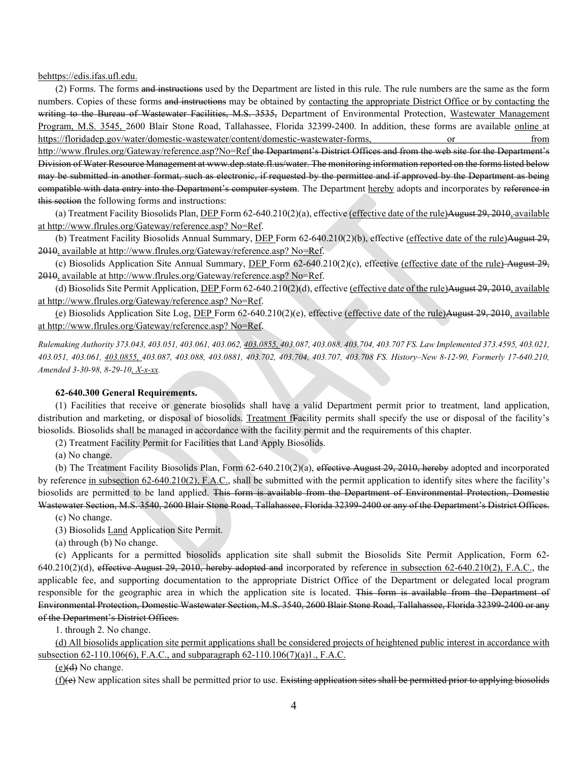behttps://edis.ifas.ufl.edu.

(2) Forms. The forms and instructions used by the Department are listed in this rule. The rule numbers are the same as the form numbers. Copies of these forms and instructions may be obtained by contacting the appropriate District Office or by contacting the writing to the Bureau of Wastewater Facilities, M.S. 3535, Department of Environmental Protection, Wastewater Management Program, M.S. 3545, 2600 Blair Stone Road, Tallahassee, Florida 32399-2400. In addition, these forms are available online at https://floridadep.gov/water/domestic-wastewater/content/domestic-wastewater-forms, or from http://www.flrules.org/Gateway/reference.asp?No=Ref the Department's District Offices and from the web site for the Department's Division of Water Resource Management at www.dep.state.fl.us/water. The monitoring information reported on the forms listed below may be submitted in another format, such as electronic, if requested by the permittee and if approved by the Department as being compatible with data entry into the Department's computer system. The Department hereby adopts and incorporates by reference in this section the following forms and instructions:

(a) Treatment Facility Biosolids Plan, DEP Form  $62-640.210(2)(a)$ , effective (effective date of the rule)August  $29, 2010$ , available at http://www.flrules.org/Gateway/reference.asp? No=Ref.

(b) Treatment Facility Biosolids Annual Summary, DEP Form  $62-640.210(2)$ (b), effective (effective date of the rule)August  $29$ , 2010, available at http://www.flrules.org/Gateway/reference.asp? No=Ref.

(c) Biosolids Application Site Annual Summary, DEP Form  $62-640.210(2)(c)$ , effective (effective date of the rule) August  $29$ , 2010, available at http://www.flrules.org/Gateway/reference.asp? No=Ref.

(d) Biosolids Site Permit Application, DEP Form 62-640.210(2)(d), effective (effective date of the rule)August 29, 2010, available at http://www.flrules.org/Gateway/reference.asp? No=Ref.

(e) Biosolids Application Site Log, DEP Form  $62-640.210(2)$ (e), effective (effective date of the rule)August  $29, 2010$ , available at http://www.flrules.org/Gateway/reference.asp? No=Ref.

*Rulemaking Authority 373.043, 403.051, 403.061, 403.062, 403.0855, 403.087, 403.088, 403.704, 403.707 FS. Law Implemented 373.4595, 403.021, 403.051, 403.061, 403.0855, 403.087, 403.088, 403.0881, 403.702, 403.704, 403.707, 403.708 FS. History–New 8-12-90, Formerly 17-640.210, Amended 3-30-98, 8-29-10, X-x-xx.*

### **62-640.300 General Requirements.**

(1) Facilities that receive or generate biosolids shall have a valid Department permit prior to treatment, land application, distribution and marketing, or disposal of biosolids. Treatment fFacility permits shall specify the use or disposal of the facility's biosolids. Biosolids shall be managed in accordance with the facility permit and the requirements of this chapter.

(2) Treatment Facility Permit for Facilities that Land Apply Biosolids.

(a) No change.

(b) The Treatment Facility Biosolids Plan, Form 62-640.210(2)(a), effective August 29, 2010, hereby adopted and incorporated by reference in subsection 62-640.210(2), F.A.C., shall be submitted with the permit application to identify sites where the facility's biosolids are permitted to be land applied. This form is available from the Department of Environmental Protection, Domestic Wastewater Section, M.S. 3540, 2600 Blair Stone Road, Tallahassee, Florida 32399-2400 or any of the Department's District Offices.

(c) No change.

(3) Biosolids Land Application Site Permit.

(a) through (b) No change.

(c) Applicants for a permitted biosolids application site shall submit the Biosolids Site Permit Application, Form 62-  $640.210(2)(d)$ , effective August 29, 2010, hereby adopted and incorporated by reference in subsection  $62-640.210(2)$ , F.A.C., the applicable fee, and supporting documentation to the appropriate District Office of the Department or delegated local program responsible for the geographic area in which the application site is located. This form is available from the Department of Environmental Protection, Domestic Wastewater Section, M.S. 3540, 2600 Blair Stone Road, Tallahassee, Florida 32399-2400 or any of the Department's District Offices.

1. through 2. No change.

(d) All biosolids application site permit applications shall be considered projects of heightened public interest in accordance with subsection 62-110.106(6), F.A.C., and subparagraph 62-110.106(7)(a)1., F.A.C.

 $(e)(d)$  No change.

 $(f)(e)$  New application sites shall be permitted prior to use. Existing application sites shall be permitted prior to applying biosolids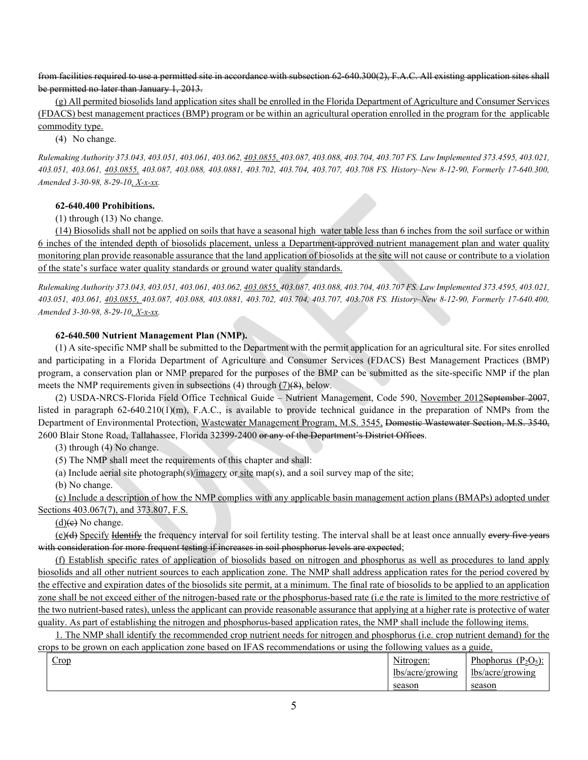from facilities required to use a permitted site in accordance with subsection 62-640.300(2), F.A.C. All existing application sites shall be permitted no later than January 1, 2013.

(g) All permited biosolids land application sites shall be enrolled in the Florida Department of Agriculture and Consumer Services (FDACS) best management practices (BMP) program or be within an agricultural operation enrolled in the program for the applicable commodity type.

(4) No change.

*Rulemaking Authority 373.043, 403.051, 403.061, 403.062, 403.0855, 403.087, 403.088, 403.704, 403.707 FS. Law Implemented 373.4595, 403.021, 403.051, 403.061, 403.0855, 403.087, 403.088, 403.0881, 403.702, 403.704, 403.707, 403.708 FS. History–New 8-12-90, Formerly 17-640.300, Amended 3-30-98, 8-29-10, X-x-xx.*

## **62-640.400 Prohibitions.**

(1) through (13) No change.

(14) Biosolids shall not be applied on soils that have a seasonal high water table less than 6 inches from the soil surface or within 6 inches of the intended depth of biosolids placement, unless a Department-approved nutrient management plan and water quality monitoring plan provide reasonable assurance that the land application of biosolids at the site will not cause or contribute to a violation of the state's surface water quality standards or ground water quality standards.

*Rulemaking Authority 373.043, 403.051, 403.061, 403.062, 403.0855, 403.087, 403.088, 403.704, 403.707 FS. Law Implemented 373.4595, 403.021, 403.051, 403.061, 403.0855, 403.087, 403.088, 403.0881, 403.702, 403.704, 403.707, 403.708 FS. History–New 8-12-90, Formerly 17-640.400, Amended 3-30-98, 8-29-10, X-x-xx.*

## **62-640.500 Nutrient Management Plan (NMP).**

(1) A site-specific NMP shall be submitted to the Department with the permit application for an agricultural site. For sites enrolled and participating in a Florida Department of Agriculture and Consumer Services (FDACS) Best Management Practices (BMP) program, a conservation plan or NMP prepared for the purposes of the BMP can be submitted as the site-specific NMP if the plan meets the NMP requirements given in subsections  $(4)$  through  $(7)(8)$ , below.

(2) USDA-NRCS-Florida Field Office Technical Guide – Nutrient Management, Code 590, November 2012September 2007, listed in paragraph 62-640.210(1)(m), F.A.C., is available to provide technical guidance in the preparation of NMPs from the Department of Environmental Protection, Wastewater Management Program, M.S. 3545, Domestic Wastewater Section, M.S. 3540, 2600 Blair Stone Road, Tallahassee, Florida 32399-2400 or any of the Department's District Offices.

(3) through (4) No change.

(5) The NMP shall meet the requirements of this chapter and shall:

(a) Include aerial site photograph(s)/ $\overline{\text{imagery}}$  or site map(s), and a soil survey map of the site;

(b) No change.

(c) Include a description of how the NMP complies with any applicable basin management action plans (BMAPs) adopted under Sections 403.067(7), and 373.807, F.S.

 $(d)$ (e) No change.

(e)(d) Specify Hentify the frequency interval for soil fertility testing. The interval shall be at least once annually every five years with consideration for more frequent testing if increases in soil phosphorus levels are expected;

(f) Establish specific rates of application of biosolids based on nitrogen and phosphorus as well as procedures to land apply biosolids and all other nutrient sources to each application zone. The NMP shall address application rates for the period covered by the effective and expiration dates of the biosolids site permit, at a minimum. The final rate of biosolids to be applied to an application zone shall be not exceed either of the nitrogen-based rate or the phosphorus-based rate (i.e the rate is limited to the more restrictive of the two nutrient-based rates), unless the applicant can provide reasonable assurance that applying at a higher rate is protective of water quality. As part of establishing the nitrogen and phosphorus-based application rates, the NMP shall include the following items.

1. The NMP shall identify the recommended crop nutrient needs for nitrogen and phosphorus (i.e. crop nutrient demand) for the crops to be grown on each application zone based on IFAS recommendations or using the following values as a guide,

| _<br><u>Crop</u> | $\mathbf{v}$<br>Nitrogen. | Phophorus<br>ъ.  |
|------------------|---------------------------|------------------|
|                  | lbs/acre/growing          | lbs/acre/growing |
|                  | season                    | season           |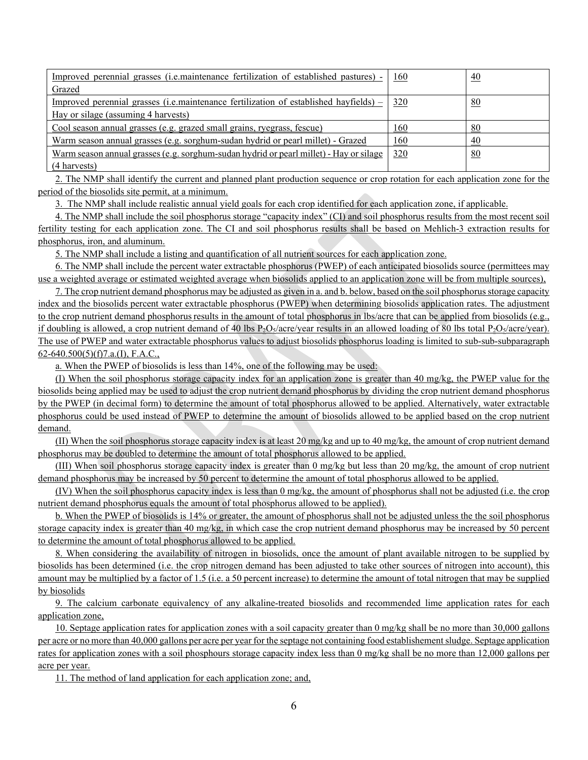| Improved perennial grasses (i.e.maintenance fertilization of established pastures) -   | 160        | $\overline{40}$ |
|----------------------------------------------------------------------------------------|------------|-----------------|
| Grazed                                                                                 |            |                 |
| Improved perennial grasses (i.e.maintenance fertilization of established hayfields) –  | <u>320</u> | <u>80</u>       |
| Hay or silage (assuming 4 harvests)                                                    |            |                 |
|                                                                                        | <u>160</u> | <u>80</u>       |
| Cool season annual grasses (e.g. grazed small grains, ryegrass, fescue)                |            |                 |
| Warm season annual grasses (e.g. sorghum-sudan hydrid or pearl millet) - Grazed        | 160        | 40              |
| Warm season annual grasses (e.g. sorghum-sudan hydrid or pearl millet) - Hay or silage | 320        | <u>80</u>       |

2. The NMP shall identify the current and planned plant production sequence or crop rotation for each application zone for the period of the biosolids site permit, at a minimum.

3. The NMP shall include realistic annual yield goals for each crop identified for each application zone, if applicable.

4. The NMP shall include the soil phosphorus storage "capacity index" (CI) and soil phosphorus results from the most recent soil fertility testing for each application zone. The CI and soil phosphorus results shall be based on Mehlich-3 extraction results for phosphorus, iron, and aluminum.

5. The NMP shall include a listing and quantification of all nutrient sources for each application zone.

6. The NMP shall include the percent water extractable phosphorus (PWEP) of each anticipated biosolids source (permittees may use a weighted average or estimated weighted average when biosolids applied to an application zone will be from multiple sources),

7. The crop nutrient demand phosphorus may be adjusted as given in a. and b. below, based on the soil phosphorus storage capacity index and the biosolids percent water extractable phosphorus (PWEP) when determining biosolids application rates. The adjustment to the crop nutrient demand phosphorus results in the amount of total phosphorus in lbs/acre that can be applied from biosolids (e.g., if doubling is allowed, a crop nutrient demand of 40 lbs  $P_2O_5/$  acre/year results in an allowed loading of 80 lbs total  $P_2O_5/$  acre/year). The use of PWEP and water extractable phosphorus values to adjust biosolids phosphorus loading is limited to sub-sub-subparagraph 62-640.500(5)(f)7.a.(I), F.A.C.,

a. When the PWEP of biosolids is less than 14%, one of the following may be used:

(I) When the soil phosphorus storage capacity index for an application zone is greater than 40 mg/kg, the PWEP value for the biosolids being applied may be used to adjust the crop nutrient demand phosphorus by dividing the crop nutrient demand phosphorus by the PWEP (in decimal form) to determine the amount of total phosphorus allowed to be applied. Alternatively, water extractable phosphorus could be used instead of PWEP to determine the amount of biosolids allowed to be applied based on the crop nutrient demand.

(II) When the soil phosphorus storage capacity index is at least 20 mg/kg and up to 40 mg/kg, the amount of crop nutrient demand phosphorus may be doubled to determine the amount of total phosphorus allowed to be applied.

(III) When soil phosphorus storage capacity index is greater than  $0 \text{ mg/kg}$  but less than  $20 \text{ mg/kg}$ , the amount of crop nutrient demand phosphorus may be increased by 50 percent to determine the amount of total phosphorus allowed to be applied.

(IV) When the soil phosphorus capacity index is less than 0 mg/kg, the amount of phosphorus shall not be adjusted (i.e. the crop nutrient demand phosphorus equals the amount of total phosphorus allowed to be applied).

b. When the PWEP of biosolids is 14% or greater, the amount of phosphorus shall not be adjusted unless the the soil phosphorus storage capacity index is greater than 40 mg/kg, in which case the crop nutrient demand phosphorus may be increased by 50 percent to determine the amount of total phosphorus allowed to be applied.

8. When considering the availability of nitrogen in biosolids, once the amount of plant available nitrogen to be supplied by biosolids has been determined (i.e. the crop nitrogen demand has been adjusted to take other sources of nitrogen into account), this amount may be multiplied by a factor of 1.5 (i.e. a 50 percent increase) to determine the amount of total nitrogen that may be supplied by biosolids

9. The calcium carbonate equivalency of any alkaline-treated biosolids and recommended lime application rates for each application zone,

10. Septage application rates for application zones with a soil capacity greater than 0 mg/kg shall be no more than 30,000 gallons per acre or no more than 40,000 gallons per acre per year for the septage not containing food establishement sludge. Septage application rates for application zones with a soil phosphours storage capacity index less than 0 mg/kg shall be no more than 12,000 gallons per acre per year.

11. The method of land application for each application zone; and,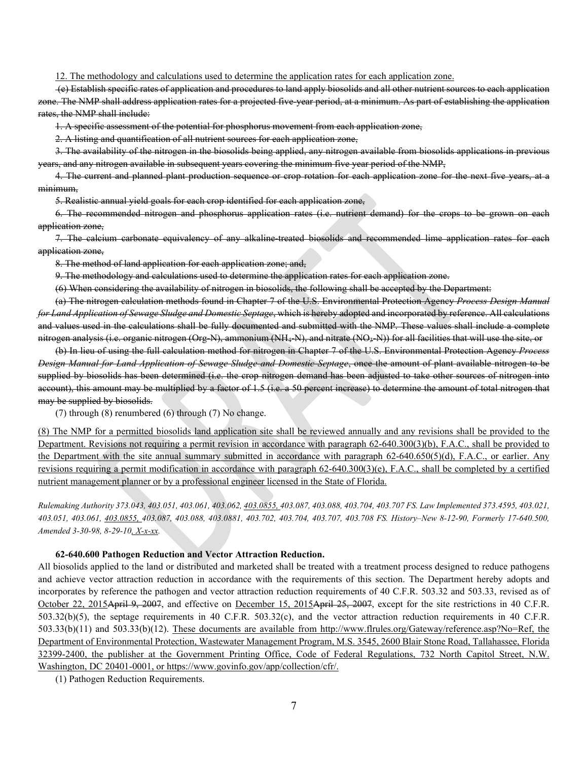12. The methodology and calculations used to determine the application rates for each application zone.

(e) Establish specific rates of application and procedures to land apply biosolids and all other nutrient sources to each application zone. The NMP shall address application rates for a projected five-year period, at a minimum. As part of establishing the application rates, the NMP shall include:

1. A specific assessment of the potential for phosphorus movement from each application zone,

2. A listing and quantification of all nutrient sources for each application zone,

3. The availability of the nitrogen in the biosolids being applied, any nitrogen available from biosolids applications in previous years, and any nitrogen available in subsequent years covering the minimum five year period of the NMP,

4. The current and planned plant production sequence or crop rotation for each application zone for the next five years, at a minimum,

5. Realistic annual yield goals for each crop identified for each application zone,

6. The recommended nitrogen and phosphorus application rates (i.e. nutrient demand) for the crops to be grown on each application zone,

7. The calcium carbonate equivalency of any alkaline treated biosolids and recommended lime application rates for each application zone,

8. The method of land application for each application zone; and,

9. The methodology and calculations used to determine the application rates for each application zone.

(6) When considering the availability of nitrogen in biosolids, the following shall be accepted by the Department:

(a) The nitrogen calculation methods found in Chapter 7 of the U.S. Environmental Protection Agency *Process Design Manual for Land Application of Sewage Sludge and Domestic Septage*, which is hereby adopted and incorporated by reference. All calculations and values used in the calculations shall be fully documented and submitted with the NMP. These values shall include a complete nitrogen analysis (i.e. organic nitrogen (Org-N), ammonium (NH4-N), and nitrate (NO3-N)) for all facilities that will use the site, or

(b) In lieu of using the full calculation method for nitrogen in Chapter 7 of the U.S. Environmental Protection Agency *Process Design Manual for Land Application of Sewage Sludge and Domestic Septage*, once the amount of plant available nitrogen to be supplied by biosolids has been determined (i.e. the crop nitrogen demand has been adjusted to take other sources of nitrogen into account), this amount may be multiplied by a factor of 1.5 (i.e. a 50 percent increase) to determine the amount of total nitrogen that may be supplied by biosolids.

(7) through (8) renumbered (6) through (7) No change.

(8) The NMP for a permitted biosolids land application site shall be reviewed annually and any revisions shall be provided to the Department. Revisions not requiring a permit revision in accordance with paragraph 62-640.300(3)(b), F.A.C., shall be provided to the Department with the site annual summary submitted in accordance with paragraph  $62-640.650(5)(d)$ , F.A.C., or earlier. Any revisions requiring a permit modification in accordance with paragraph 62-640.300(3)(e), F.A.C., shall be completed by a certified nutrient management planner or by a professional engineer licensed in the State of Florida.

*Rulemaking Authority 373.043, 403.051, 403.061, 403.062, 403.0855, 403.087, 403.088, 403.704, 403.707 FS. Law Implemented 373.4595, 403.021, 403.051, 403.061, 403.0855, 403.087, 403.088, 403.0881, 403.702, 403.704, 403.707, 403.708 FS. History–New 8-12-90, Formerly 17-640.500, Amended 3-30-98, 8-29-10, X-x-xx.*

#### **62-640.600 Pathogen Reduction and Vector Attraction Reduction.**

All biosolids applied to the land or distributed and marketed shall be treated with a treatment process designed to reduce pathogens and achieve vector attraction reduction in accordance with the requirements of this section. The Department hereby adopts and incorporates by reference the pathogen and vector attraction reduction requirements of 40 C.F.R. 503.32 and 503.33, revised as of October 22, 2015April 9, 2007, and effective on December 15, 2015April 25, 2007, except for the site restrictions in 40 C.F.R. 503.32(b)(5), the septage requirements in 40 C.F.R. 503.32(c), and the vector attraction reduction requirements in 40 C.F.R. 503.33(b)(11) and 503.33(b)(12). These documents are available from http://www.flrules.org/Gateway/reference.asp?No=Ref, the Department of Environmental Protection, Wastewater Management Program, M.S. 3545, 2600 Blair Stone Road, Tallahassee, Florida 32399-2400, the publisher at the Government Printing Office, Code of Federal Regulations, 732 North Capitol Street, N.W. Washington, DC 20401-0001, or https://www.govinfo.gov/app/collection/cfr/.

(1) Pathogen Reduction Requirements.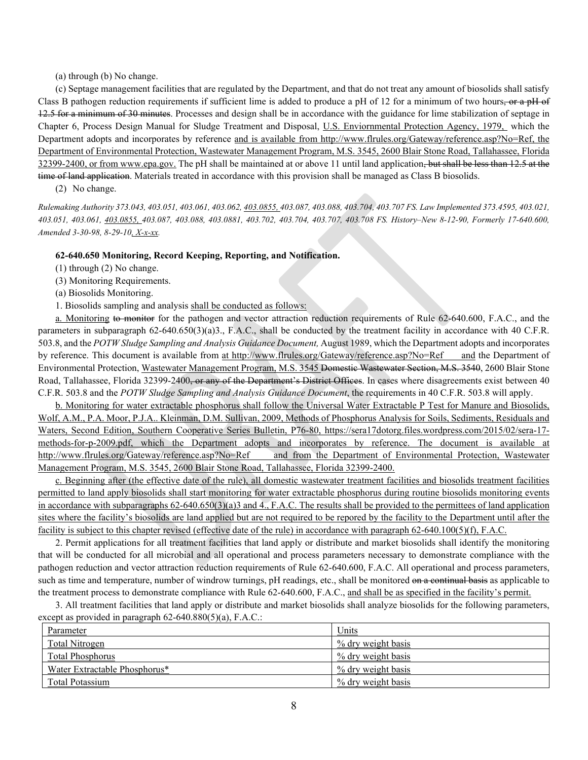(a) through (b) No change.

(c) Septage management facilities that are regulated by the Department, and that do not treat any amount of biosolids shall satisfy Class B pathogen reduction requirements if sufficient lime is added to produce a pH of 12 for a minimum of two hours, or a pH of 12.5 for a minimum of 30 minutes. Processes and design shall be in accordance with the guidance for lime stabilization of septage in Chapter 6, Process Design Manual for Sludge Treatment and Disposal, U.S. Enviornmental Protection Agency, 1979, which the Department adopts and incorporates by reference and is available from http://www.flrules.org/Gateway/reference.asp?No=Ref, the Department of Environmental Protection, Wastewater Management Program, M.S. 3545, 2600 Blair Stone Road, Tallahassee, Florida 32399-2400, or from www.epa.gov. The pH shall be maintained at or above 11 until land application, but shall be less than 12.5 at the time of land application. Materials treated in accordance with this provision shall be managed as Class B biosolids.

(2) No change.

*Rulemaking Authority 373.043, 403.051, 403.061, 403.062, 403.0855, 403.087, 403.088, 403.704, 403.707 FS. Law Implemented 373.4595, 403.021, 403.051, 403.061, 403.0855, 403.087, 403.088, 403.0881, 403.702, 403.704, 403.707, 403.708 FS. History–New 8-12-90, Formerly 17-640.600, Amended 3-30-98, 8-29-10, X-x-xx.*

## **62-640.650 Monitoring, Record Keeping, Reporting, and Notification.**

(1) through (2) No change.

(3) Monitoring Requirements.

(a) Biosolids Monitoring.

1. Biosolids sampling and analysis shall be conducted as follows:

a. Monitoring to monitor for the pathogen and vector attraction reduction requirements of Rule 62-640.600, F.A.C., and the parameters in subparagraph 62-640.650(3)(a)3., F.A.C., shall be conducted by the treatment facility in accordance with 40 C.F.R. 503.8, and the *POTW Sludge Sampling and Analysis Guidance Document,* August 1989, which the Department adopts and incorporates by reference. This document is available from at http://www.flrules.org/Gateway/reference.asp?No=Ref and the Department of Environmental Protection, Wastewater Management Program, M.S. 3545 Domestic Wastewater Section, M.S. 3540, 2600 Blair Stone Road, Tallahassee, Florida 32399-2400, or any of the Department's District Offices. In cases where disagreements exist between 40 C.F.R. 503.8 and the *POTW Sludge Sampling and Analysis Guidance Document*, the requirements in 40 C.F.R. 503.8 will apply.

b. Monitoring for water extractable phosphorus shall follow the Universal Water Extractable P Test for Manure and Biosolids, Wolf, A.M., P.A. Moor, P.J.A.. Kleinman, D.M. Sullivan, 2009, Methods of Phosphorus Analysis for Soils, Sediments, Residuals and Waters, Second Edition, Southern Cooperative Series Bulletin, P76-80, https://sera17dotorg.files.wordpress.com/2015/02/sera-17 methods-for-p-2009.pdf, which the Department adopts and incorporates by reference. The document is available at http://www.flrules.org/Gateway/reference.asp?No=Ref and from the Department of Environmental Protection, Wastewater Management Program, M.S. 3545, 2600 Blair Stone Road, Tallahassee, Florida 32399-2400.

c. Beginning after (the effective date of the rule), all domestic wastewater treatment facilities and biosolids treatment facilities permitted to land apply biosolids shall start monitoring for water extractable phosphorus during routine biosolids monitoring events in accordance with subparagraphs 62-640.650(3)(a)3 and 4., F.A.C. The results shall be provided to the permittees of land application sites where the facility's biosolids are land applied but are not required to be repored by the facility to the Department until after the facility is subject to this chapter revised (effective date of the rule) in accordance with paragraph 62-640.100(5)(f), F.A.C.

2. Permit applications for all treatment facilities that land apply or distribute and market biosolids shall identify the monitoring that will be conducted for all microbial and all operational and process parameters necessary to demonstrate compliance with the pathogen reduction and vector attraction reduction requirements of Rule 62-640.600, F.A.C. All operational and process parameters, such as time and temperature, number of windrow turnings, pH readings, etc., shall be monitored on a continual basis as applicable to the treatment process to demonstrate compliance with Rule 62-640.600, F.A.C., and shall be as specified in the facility's permit.

3. All treatment facilities that land apply or distribute and market biosolids shall analyze biosolids for the following parameters, except as provided in paragraph 62-640.880(5)(a), F.A.C.:

| Parameter                     | Units                          |
|-------------------------------|--------------------------------|
| <b>Total Nitrogen</b>         | $\frac{6}{2}$ dry weight basis |
| <b>Total Phosphorus</b>       | % dry weight basis             |
| Water Extractable Phosphorus* | % dry weight basis             |
| Total Potassium               | % dry weight basis             |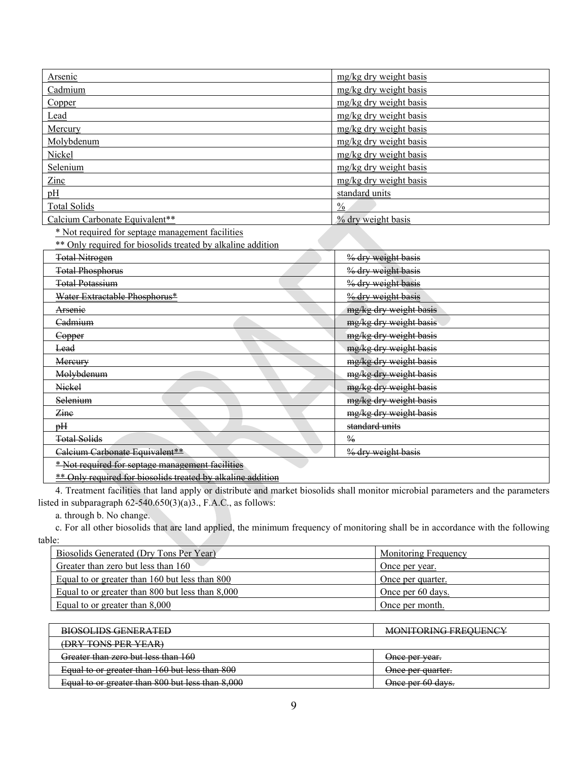| Arsenic                                                     | mg/kg dry weight basis |
|-------------------------------------------------------------|------------------------|
| Cadmium                                                     | mg/kg dry weight basis |
| Copper                                                      | mg/kg dry weight basis |
| Lead                                                        | mg/kg dry weight basis |
| Mercury                                                     | mg/kg dry weight basis |
| Molybdenum                                                  | mg/kg dry weight basis |
| Nickel                                                      | mg/kg dry weight basis |
| Selenium                                                    | mg/kg dry weight basis |
| Zinc                                                        | mg/kg dry weight basis |
| pH                                                          | standard units         |
| <b>Total Solids</b>                                         | $\frac{0}{0}$          |
| Calcium Carbonate Equivalent**                              | % dry weight basis     |
| * Not required for septage management facilities            |                        |
| ** Only required for biosolids treated by alkaline addition |                        |
| <b>Total Nitrogen</b>                                       | % dry weight basis     |
| <b>Total Phosphorus</b>                                     | % dry weight basis     |
| <b>Total Potassium</b>                                      | % dry weight basis     |
| Water Extractable Phosphorus*                               | % dry weight basis     |
| Arsenie                                                     | mg/kg dry weight basis |
| Cadmium                                                     | mg/kg dry weight basis |
| Copper                                                      | mg/kg dry weight basis |
| Lead                                                        | mg/kg dry weight basis |
| Mercury                                                     | mg/kg dry weight basis |
| Molybdenum                                                  | mg/kg dry weight basis |
| Nickel                                                      | mg/kg dry weight basis |
| Selenium                                                    | mg/kg dry weight basis |
| Zine                                                        | mg/kg dry weight basis |
| pH                                                          | standard units         |
| <b>Total Solids</b>                                         | $\frac{0}{6}$          |
| Calcium Carbonate Equivalent**                              | % dry weight basis     |
| * Not required for septage management facilities            |                        |
| ** Only required for biosolids treated by alkaline addition |                        |

biosolids treated by alkaline addition

4. Treatment facilities that land apply or distribute and market biosolids shall monitor microbial parameters and the parameters listed in subparagraph 62-540.650(3)(a)3., F.A.C., as follows:

a. through b. No change.

c. For all other biosolids that are land applied, the minimum frequency of monitoring shall be in accordance with the following table:

| Biosolids Generated (Dry Tons Per Year)          | Monitoring Frequency |
|--------------------------------------------------|----------------------|
| Greater than zero but less than 160              | Once per year.       |
| Equal to or greater than 160 but less than 800   | Once per quarter.    |
| Equal to or greater than 800 but less than 8,000 | Once per 60 days.    |
| Equal to or greater than 8,000                   | Once per month.      |

| <b>BIOSOLIDS GENERATED</b>                       | MONITORING EREQUENCY<br><del>MUNHURING PREQUENCI</del> |
|--------------------------------------------------|--------------------------------------------------------|
| (DRY TONS PER YEAR)                              |                                                        |
| Greater than zero but less than 160              | Once per year.                                         |
| Equal to or greater than 160 but less than 800   | Theo nor quartor<br><del>omoo bor uuanor.</del>        |
| Equal to or greater than 800 but less than 8,000 | Once per 60 days.                                      |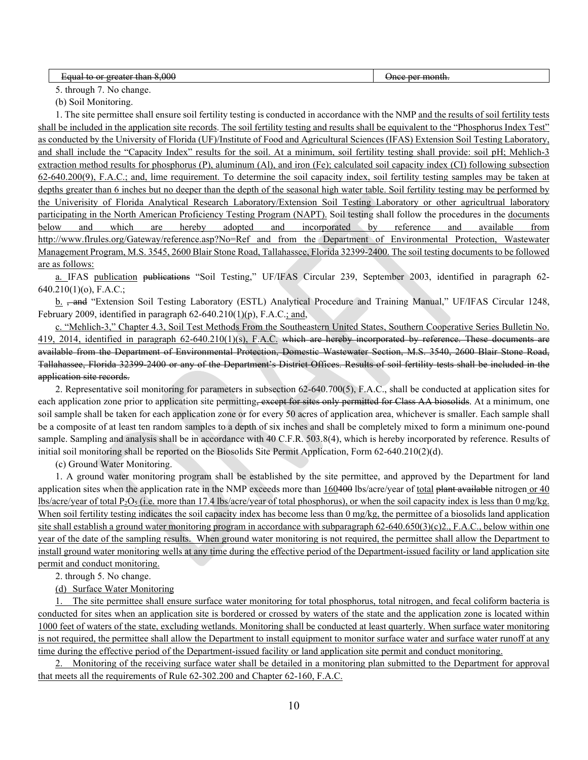| Equal to or greater than 8,000                                  | ' Ince ner month           |
|-----------------------------------------------------------------|----------------------------|
| $E$ <del>under to or greater than <math>\sigma</math>,000</del> | <del>onoo bor monu</del> r |
|                                                                 |                            |

5. through 7. No change.

(b) Soil Monitoring.

1. The site permittee shall ensure soil fertility testing is conducted in accordance with the NMP and the results of soil fertility tests shall be included in the application site records. The soil fertility testing and results shall be equivalent to the "Phosphorus Index Test" as conducted by the University of Florida (UF)/Institute of Food and Agricultural Sciences (IFAS) Extension Soil Testing Laboratory, and shall include the "Capacity Index" results for the soil. At a minimum, soil fertility testing shall provide: soil pH; Mehlich-3 extraction method results for phosphorus (P), aluminum (Al), and iron (Fe); calculated soil capacity index (CI) following subsection 62-640.200(9), F.A.C.; and, lime requirement. To determine the soil capacity index, soil fertility testing samples may be taken at depths greater than 6 inches but no deeper than the depth of the seasonal high water table. Soil fertility testing may be performed by the Univerisity of Florida Analytical Research Laboratory/Extension Soil Testing Laboratory or other agricultrual laboratory participating in the North American Proficiency Testing Program (NAPT). Soil testing shall follow the procedures in the documents below and which are hereby adopted and incorporated by reference and available from http://www.flrules.org/Gateway/reference.asp?No=Ref and from the Department of Environmental Protection, Wastewater Management Program, M.S. 3545, 2600 Blair Stone Road, Tallahassee, Florida 32399-2400. The soil testing documents to be followed are as follows:

a. IFAS publication publications "Soil Testing," UF/IFAS Circular 239, September 2003, identified in paragraph 62-640.210(1)(o), F.A.C.;

b. <del>, and</del> "Extension Soil Testing Laboratory (ESTL) Analytical Procedure and Training Manual," UF/IFAS Circular 1248, February 2009, identified in paragraph 62-640.210(1)(p), F.A.C.; and,

c. "Mehlich-3," Chapter 4.3, Soil Test Methods From the Southeastern United States, Southern Cooperative Series Bulletin No. 419, 2014, identified in paragraph  $62-640.210(1)(s)$ , F.A.C. which are hereby incorporated by reference. These documents are available from the Department of Environmental Protection, Domestic Wastewater Section, M.S. 3540, 2600 Blair Stone Road, Tallahassee, Florida 32399-2400 or any of the Department's District Offices. Results of soil fertility tests shall be included in the application site records.

2. Representative soil monitoring for parameters in subsection 62-640.700(5), F.A.C., shall be conducted at application sites for each application zone prior to application site permitting, except for sites only permitted for Class AA biosolids. At a minimum, one soil sample shall be taken for each application zone or for every 50 acres of application area, whichever is smaller. Each sample shall be a composite of at least ten random samples to a depth of six inches and shall be completely mixed to form a minimum one-pound sample. Sampling and analysis shall be in accordance with 40 C.F.R. 503.8(4), which is hereby incorporated by reference. Results of initial soil monitoring shall be reported on the Biosolids Site Permit Application, Form 62-640.210(2)(d).

(c) Ground Water Monitoring.

1. A ground water monitoring program shall be established by the site permittee, and approved by the Department for land application sites when the application rate in the NMP exceeds more than 160400 lbs/acre/year of total plant available nitrogen or 40 lbs/acre/year of total P<sub>2</sub>O<sub>5</sub> (i.e. more than 17.4 lbs/acre/year of total phosphorus), or when the soil capacity index is less than 0 mg/kg. When soil fertility testing indicates the soil capacity index has become less than 0 mg/kg, the permittee of a biosolids land application site shall establish a ground water monitoring program in accordance with subparagraph 62-640.650(3)(c)2., F.A.C., below within one year of the date of the sampling results. When ground water monitoring is not required, the permittee shall allow the Department to install ground water monitoring wells at any time during the effective period of the Department-issued facility or land application site permit and conduct monitoring.

2. through 5. No change.

(d) Surface Water Monitoring

1. The site permittee shall ensure surface water monitoring for total phosphorus, total nitrogen, and fecal coliform bacteria is conducted for sites when an application site is bordered or crossed by waters of the state and the application zone is located within 1000 feet of waters of the state, excluding wetlands. Monitoring shall be conducted at least quarterly. When surface water monitoring is not required, the permittee shall allow the Department to install equipment to monitor surface water and surface water runoff at any time during the effective period of the Department-issued facility or land application site permit and conduct monitoring.

2. Monitoring of the receiving surface water shall be detailed in a monitoring plan submitted to the Department for approval that meets all the requirements of Rule 62-302.200 and Chapter 62-160, F.A.C.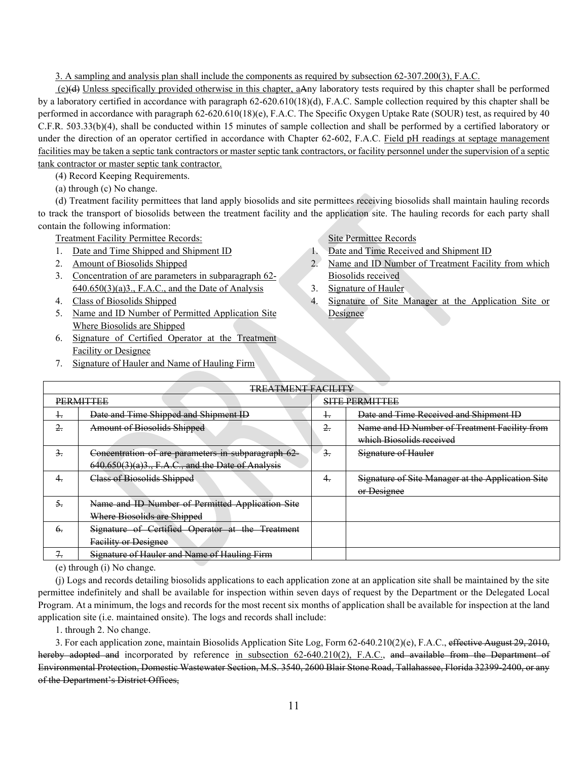3. A sampling and analysis plan shall include the components as required by subsection 62-307.200(3), F.A.C.

(e)(d) Unless specifically provided otherwise in this chapter, aAny laboratory tests required by this chapter shall be performed by a laboratory certified in accordance with paragraph 62-620.610(18)(d), F.A.C. Sample collection required by this chapter shall be performed in accordance with paragraph 62-620.610(18)(e), F.A.C. The Specific Oxygen Uptake Rate (SOUR) test, as required by 40 C.F.R. 503.33(b)(4), shall be conducted within 15 minutes of sample collection and shall be performed by a certified laboratory or under the direction of an operator certified in accordance with Chapter 62-602, F.A.C. Field pH readings at septage management facilities may be taken a septic tank contractors or master septic tank contractors, or facility personnel under the supervision of a septic tank contractor or master septic tank contractor.

(4) Record Keeping Requirements.

(a) through (c) No change.

(d) Treatment facility permittees that land apply biosolids and site permittees receiving biosolids shall maintain hauling records to track the transport of biosolids between the treatment facility and the application site. The hauling records for each party shall contain the following information:

Treatment Facility Permittee Records:

- 1. Date and Time Shipped and Shipment ID
- 2. Amount of Biosolids Shipped
- 3. Concentration of are parameters in subparagraph 62- 640.650(3)(a)3., F.A.C., and the Date of Analysis
- 4. Class of Biosolids Shipped
- 5. Name and ID Number of Permitted Application Site Where Biosolids are Shipped
- 6. Signature of Certified Operator at the Treatment Facility or Designee
- 7. Signature of Hauler and Name of Hauling Firm

Site Permittee Records

- 1. Date and Time Received and Shipment ID
- 2. Name and ID Number of Treatment Facility from which Biosolids received
- 3. Signature of Hauler
- 4. Signature of Site Manager at the Application Site or Designee

| <b>TREATMENT FACILITY</b> |                                                     |    |                                                   |
|---------------------------|-----------------------------------------------------|----|---------------------------------------------------|
| <b>PERMITTEE</b>          |                                                     |    | <b>SITE PERMITTEE</b>                             |
| $\pm$                     | Date and Time Shipped and Shipment ID               | ÷. | Date and Time Received and Shipment ID            |
| 2.                        | <b>Amount of Biosolids Shipped</b>                  | ź. | Name and ID Number of Treatment Facility from     |
|                           |                                                     |    | which Biosolids received                          |
| 3.                        | Concentration of are parameters in subparagraph 62- | 3. | <b>Signature of Hauler</b>                        |
|                           | 640.650(3)(a)3., F.A.C., and the Date of Analysis   |    |                                                   |
| 4.                        | <b>Class of Biosolids Shipped</b>                   | 4. | Signature of Site Manager at the Application Site |
|                           |                                                     |    | or Designee                                       |
| -5.                       | Name and ID Number of Permitted Application Site    |    |                                                   |
|                           | Where Biosolids are Shipped                         |    |                                                   |
| 6.                        | Signature of Certified Operator at the Treatment    |    |                                                   |
|                           | <b>Facility or Designee</b>                         |    |                                                   |
| 7.                        | Signature of Hauler and Name of Hauling Firm        |    |                                                   |

(e) through (i) No change.

(j) Logs and records detailing biosolids applications to each application zone at an application site shall be maintained by the site permittee indefinitely and shall be available for inspection within seven days of request by the Department or the Delegated Local Program. At a minimum, the logs and records for the most recent six months of application shall be available for inspection at the land application site (i.e. maintained onsite). The logs and records shall include:

1. through 2. No change.

3. For each application zone, maintain Biosolids Application Site Log, Form 62-640.210(2)(e), F.A.C., effective August 29, 2010, hereby adopted and incorporated by reference in subsection 62-640.210(2), F.A.C., and available from the Department of Environmental Protection, Domestic Wastewater Section, M.S. 3540, 2600 Blair Stone Road, Tallahassee, Florida 32399-2400, or any of the Department's District Offices,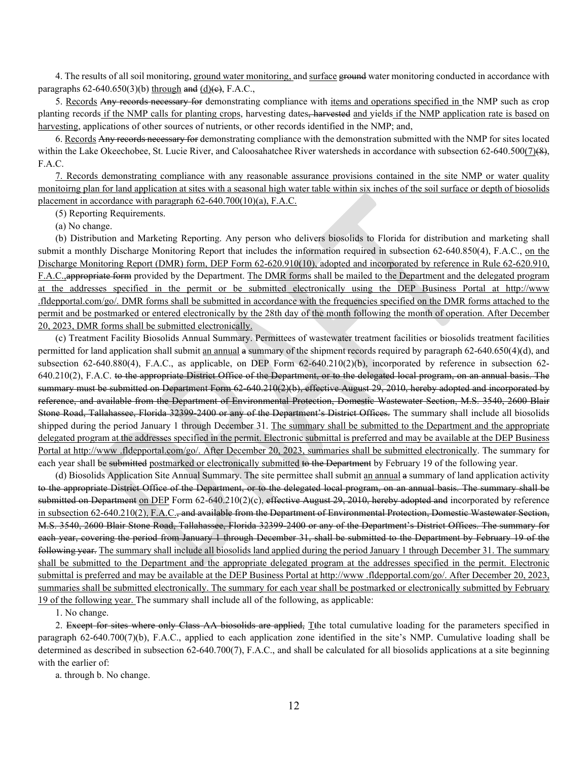4. The results of all soil monitoring, ground water monitoring, and surface ground water monitoring conducted in accordance with paragraphs  $62-640.650(3)(b)$  through and  $(d)(e)$ , F.A.C.,

5. Records Any records necessary for demonstrating compliance with items and operations specified in the NMP such as crop planting records if the NMP calls for planting crops, harvesting dates<del>, harvested</del> and yields if the NMP application rate is based on harvesting, applications of other sources of nutrients, or other records identified in the NMP; and,

6. Records Any records necessary for demonstrating compliance with the demonstration submitted with the NMP for sites located within the Lake Okeechobee, St. Lucie River, and Caloosahatchee River watersheds in accordance with subsection 62-640.500(7)(8), F.A.C.

7. Records demonstrating compliance with any reasonable assurance provisions contained in the site NMP or water quality monitoirng plan for land application at sites with a seasonal high water table within six inches of the soil surface or depth of biosolids placement in accordance with paragraph 62-640.700(10)(a), F.A.C.

(5) Reporting Requirements.

(a) No change.

(b) Distribution and Marketing Reporting. Any person who delivers biosolids to Florida for distribution and marketing shall submit a monthly Discharge Monitoring Report that includes the information required in subsection 62-640.850(4), F.A.C., on the Discharge Monitoring Report (DMR) form, DEP Form 62-620.910(10), adopted and incorporated by reference in Rule 62-620.910, F.A.C., appropriate form provided by the Department. The DMR forms shall be mailed to the Department and the delegated program at the addresses specified in the permit or be submitted electronically using the DEP Business Portal at http://www .fldepportal.com/go/. DMR forms shall be submitted in accordance with the frequencies specified on the DMR forms attached to the permit and be postmarked or entered electronically by the 28th day of the month following the month of operation. After December 20, 2023, DMR forms shall be submitted electronically.

(c) Treatment Facility Biosolids Annual Summary. Permittees of wastewater treatment facilities or biosolids treatment facilities permitted for land application shall submit an annual a summary of the shipment records required by paragraph 62-640.650(4)(d), and subsection 62-640.880(4), F.A.C., as applicable, on DEP Form 62-640.210(2)(b), incorporated by reference in subsection 62- 640.210(2), F.A.C. to the appropriate District Office of the Department, or to the delegated local program, on an annual basis. The summary must be submitted on Department Form 62-640.210(2)(b), effective August 29, 2010, hereby adopted and incorporated by reference, and available from the Department of Environmental Protection, Domestic Wastewater Section, M.S. 3540, 2600 Blair Stone Road, Tallahassee, Florida 32399-2400 or any of the Department's District Offices. The summary shall include all biosolids shipped during the period January 1 through December 31. The summary shall be submitted to the Department and the appropriate delegated program at the addresses specified in the permit. Electronic submittal is preferred and may be available at the DEP Business Portal at http://www .fldepportal.com/go/. After December 20, 2023, summaries shall be submitted electronically. The summary for each year shall be submitted postmarked or electronically submitted to the Department by February 19 of the following year.

(d) Biosolids Application Site Annual Summary. The site permittee shall submit an annual a summary of land application activity to the appropriate District Office of the Department, or to the delegated local program, on an annual basis. The summary shall be submitted on Department on DEP Form 62-640.210(2)(c), effective August 29, 2010, hereby adopted and incorporated by reference in subsection 62-640.210(2), F.A.C.<del>, and available from the Department of Environmental Protection, Domestic Wastewater Section,</del> M.S. 3540, 2600 Blair Stone Road, Tallahassee, Florida 32399-2400 or any of the Department's District Offices. The summary for each year, covering the period from January 1 through December 31, shall be submitted to the Department by February 19 of the following year. The summary shall include all biosolids land applied during the period January 1 through December 31. The summary shall be submitted to the Department and the appropriate delegated program at the addresses specified in the permit. Electronic submittal is preferred and may be available at the DEP Business Portal at http://www .fldepportal.com/go/. After December 20, 2023, summaries shall be submitted electronically. The summary for each year shall be postmarked or electronically submitted by February 19 of the following year. The summary shall include all of the following, as applicable:

1. No change.

2. Except for sites where only Class AA biosolids are applied. The total cumulative loading for the parameters specified in paragraph 62-640.700(7)(b), F.A.C., applied to each application zone identified in the site's NMP. Cumulative loading shall be determined as described in subsection 62-640.700(7), F.A.C., and shall be calculated for all biosolids applications at a site beginning with the earlier of:

a. through b. No change.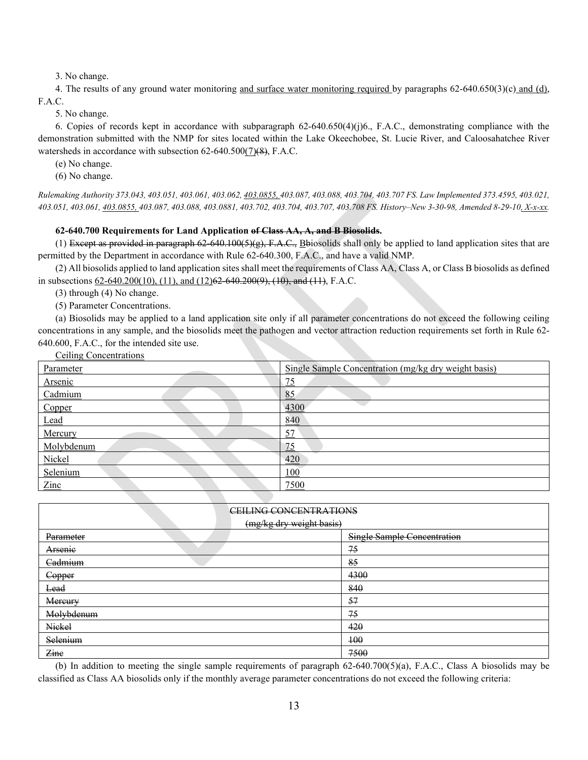3. No change.

4. The results of any ground water monitoring and surface water monitoring required by paragraphs 62-640.650(3)(c) and (d), F.A.C.

5. No change.

6. Copies of records kept in accordance with subparagraph 62-640.650(4)(j)6., F.A.C., demonstrating compliance with the demonstration submitted with the NMP for sites located within the Lake Okeechobee, St. Lucie River, and Caloosahatchee River watersheds in accordance with subsection 62-640.500(7)(8), F.A.C.

(e) No change.

(6) No change.

*Rulemaking Authority 373.043, 403.051, 403.061, 403.062, 403.0855, 403.087, 403.088, 403.704, 403.707 FS. Law Implemented 373.4595, 403.021, 403.051, 403.061, 403.0855, 403.087, 403.088, 403.0881, 403.702, 403.704, 403.707, 403.708 FS. History–New 3-30-98, Amended 8-29-10, X-x-xx.*

### **62-640.700 Requirements for Land Application of Class AA, A, and B Biosolids.**

(1) Except as provided in paragraph 62-640.100(5)(g), F.A.C., Bbiosolids shall only be applied to land application sites that are permitted by the Department in accordance with Rule 62-640.300, F.A.C., and have a valid NMP.

(2) All biosolids applied to land application sites shall meet the requirements of Class AA, Class A, or Class B biosolids as defined in subsections  $62-640.200(10)$ ,  $(11)$ , and  $(12)62-640.200(9)$ ,  $(10)$ , and  $(11)$ , F.A.C.

(3) through (4) No change.

(5) Parameter Concentrations.

(a) Biosolids may be applied to a land application site only if all parameter concentrations do not exceed the following ceiling concentrations in any sample, and the biosolids meet the pathogen and vector attraction reduction requirements set forth in Rule 62- 640.600, F.A.C., for the intended site use.

| <b>Ceiling Concentrations</b> |                                                      |  |
|-------------------------------|------------------------------------------------------|--|
| Parameter                     | Single Sample Concentration (mg/kg dry weight basis) |  |
| Arsenic                       | <u>75</u>                                            |  |
| Cadmium                       | 85                                                   |  |
| Copper                        | 4300                                                 |  |
| Lead                          | 840                                                  |  |
| Mercury                       | 57                                                   |  |
| Molybdenum                    | 75                                                   |  |
| Nickel                        | 420                                                  |  |
| Selenium                      | 100                                                  |  |
| $\mathbf{Z}$ inc              | 7500                                                 |  |

| <b>CEILING CONCENTRATIONS</b> |                                    |
|-------------------------------|------------------------------------|
| (mg/kg dry weight basis)      |                                    |
| Parameter                     | <b>Single Sample Concentration</b> |
| Arsenie                       | 75                                 |
| Cadmium                       | 85                                 |
| Copper                        | 4300                               |
| Lead                          | 840                                |
| Mercury                       | 57                                 |
| Molybdenum                    | 75                                 |
| Niekel                        | 420                                |
| Selenium                      | 100                                |
| Zine                          | 7500                               |

(b) In addition to meeting the single sample requirements of paragraph 62-640.700(5)(a), F.A.C., Class A biosolids may be classified as Class AA biosolids only if the monthly average parameter concentrations do not exceed the following criteria: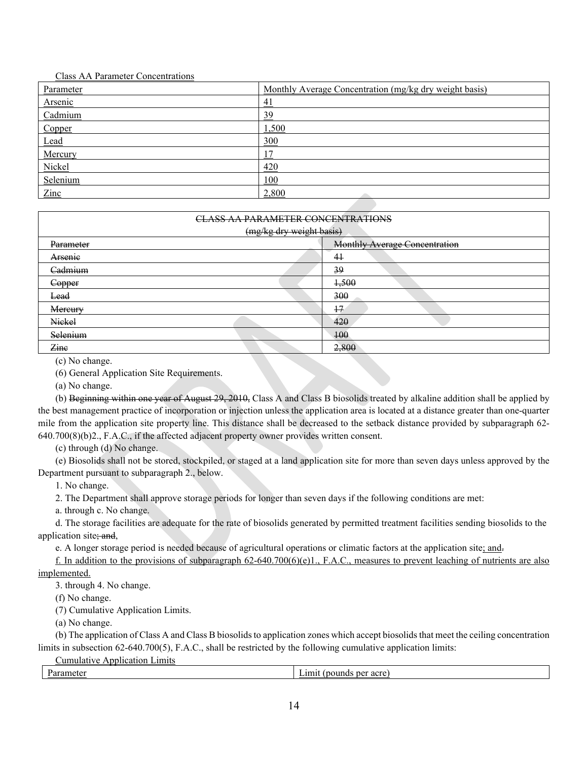| Class AA Falameter Concentrations |                                                        |
|-----------------------------------|--------------------------------------------------------|
| Parameter                         | Monthly Average Concentration (mg/kg dry weight basis) |
| <b>Arsenic</b>                    | <u>41</u>                                              |
| Cadmium                           | 39                                                     |
| Copper                            | 1,500                                                  |
| Lead                              | 300                                                    |
| Mercury                           |                                                        |
| Nickel                            | 420                                                    |
| Selenium                          | <u>100</u>                                             |
| $\mathbf{Z}$ inc                  | 2,800                                                  |

| <b>CLASS AA PARAMETER CONCENTRATIONS</b> |                                      |  |
|------------------------------------------|--------------------------------------|--|
| (mg/kg dry weight basis)                 |                                      |  |
| Parameter                                | <b>Monthly Average Concentration</b> |  |
| Arsenie                                  | 41                                   |  |
| Cadmium                                  | 39                                   |  |
| <b>Copper</b>                            | 1,500                                |  |
| Lead                                     | 300                                  |  |
| Mereury                                  | $+7$                                 |  |
| Nickel                                   | 420                                  |  |
| Selenium                                 | 100                                  |  |
| Zine                                     | 2,800                                |  |

(c) No change.

(6) General Application Site Requirements.

Class AA Parameter Concentrations

(a) No change.

(b) Beginning within one year of August 29, 2010, Class A and Class B biosolids treated by alkaline addition shall be applied by the best management practice of incorporation or injection unless the application area is located at a distance greater than one-quarter mile from the application site property line. This distance shall be decreased to the setback distance provided by subparagraph 62- 640.700(8)(b)2., F.A.C., if the affected adjacent property owner provides written consent.

(c) through (d) No change.

(e) Biosolids shall not be stored, stockpiled, or staged at a land application site for more than seven days unless approved by the Department pursuant to subparagraph 2., below.

1. No change.

2. The Department shall approve storage periods for longer than seven days if the following conditions are met:

a. through c. No change.

d. The storage facilities are adequate for the rate of biosolids generated by permitted treatment facilities sending biosolids to the application site; and,

e. A longer storage period is needed because of agricultural operations or climatic factors at the application site; and-

f. In addition to the provisions of subparagraph  $62-640.700(6)(e)1$ , F.A.C., measures to prevent leaching of nutrients are also implemented.

3. through 4. No change.

(f) No change.

(7) Cumulative Application Limits.

(a) No change.

(b) The application of Class A and Class B biosolids to application zones which accept biosolids that meet the ceiling concentration limits in subsection 62-640.700(5), F.A.C., shall be restricted by the following cumulative application limits:

### Cumulative Application Limits

| Ð<br>neter<br>. | $\sim$<br>$L1$ m<br>$-22.22$<br>per acre<br>ounas<br>LDOL.<br>∵ De.<br>ັ |
|-----------------|--------------------------------------------------------------------------|
|                 |                                                                          |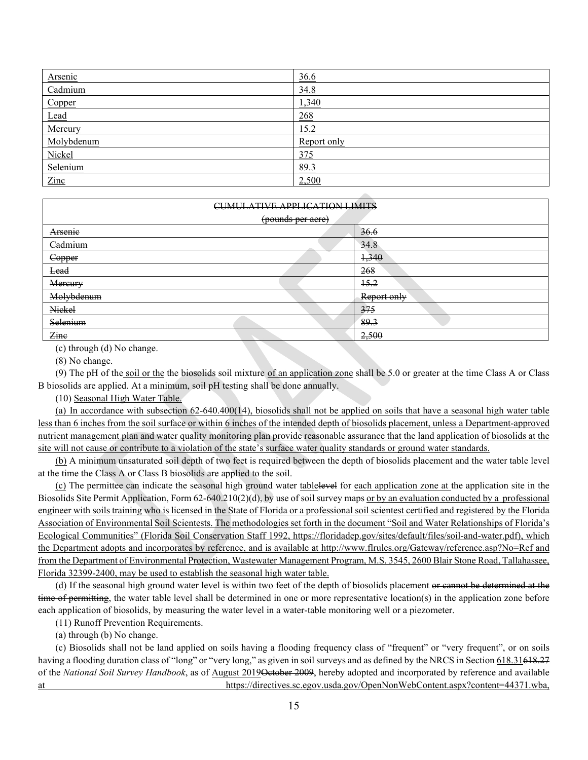| 36.6        |
|-------------|
| 34.8        |
| 1,340       |
| 268         |
| 15.2        |
| Report only |
| 375         |
| 89.3        |
| 2,500       |
|             |

| <b>CUMULATIVE APPLICATION LIMITS</b> |             |  |
|--------------------------------------|-------------|--|
| (pounds per acre)                    |             |  |
| Arsenie                              | 36.6        |  |
| Cadmium                              | 34.8        |  |
| <b>Copper</b>                        | 1,340       |  |
| Lead                                 | 268         |  |
| Mercury                              | 15.2        |  |
| Molybdenum                           | Report only |  |
| Nickel                               | 375         |  |
| Selenium                             | 89.3        |  |
| Zine                                 | 2,500       |  |

(c) through (d) No change.

(8) No change.

(9) The pH of the soil or the the biosolids soil mixture of an application zone shall be 5.0 or greater at the time Class A or Class B biosolids are applied. At a minimum, soil pH testing shall be done annually.

(10) Seasonal High Water Table.

(a) In accordance with subsection 62-640.400(14), biosolids shall not be applied on soils that have a seasonal high water table less than 6 inches from the soil surface or within 6 inches of the intended depth of biosolids placement, unless a Department-approved nutrient management plan and water quality monitoring plan provide reasonable assurance that the land application of biosolids at the site will not cause or contribute to a violation of the state's surface water quality standards or ground water standards.

(b) A minimum unsaturated soil depth of two feet is required between the depth of biosolids placement and the water table level at the time the Class A or Class B biosolids are applied to the soil.

(c) The permittee can indicate the seasonal high ground water tablelevel for each application zone at the application site in the Biosolids Site Permit Application, Form  $62-640.210(2)(d)$ , by use of soil survey maps <u>or by an evaluation conducted by a professional</u> engineer with soils training who is licensed in the State of Florida or a professional soil scientest certified and registered by the Florida Association of Environmental Soil Scientests. The methodologies set forth in the document "Soil and Water Relationships of Florida's Ecological Communities" (Florida Soil Conservation Staff 1992, https://floridadep.gov/sites/default/files/soil-and-water.pdf), which the Department adopts and incorporates by reference, and is available at http://www.flrules.org/Gateway/reference.asp?No=Ref and from the Department of Environmental Protection, Wastewater Management Program, M.S. 3545, 2600 Blair Stone Road, Tallahassee, Florida 32399-2400, may be used to establish the seasonal high water table.

(d) If the seasonal high ground water level is within two feet of the depth of biosolids placement or cannot be determined at the  $t$  time of permitting, the water table level shall be determined in one or more representative location(s) in the application zone before each application of biosolids, by measuring the water level in a water-table monitoring well or a piezometer.

(11) Runoff Prevention Requirements.

(a) through (b) No change.

(c) Biosolids shall not be land applied on soils having a flooding frequency class of "frequent" or "very frequent", or on soils having a flooding duration class of "long" or "very long," as given in soil surveys and as defined by the NRCS in Section 618.31618.27 of the *National Soil Survey Handbook*, as of August 2019<del>October 2009</del>, hereby adopted and incorporated by reference and available at https://directives.sc.egov.usda.gov/OpenNonWebContent.aspx?content=44371.wba,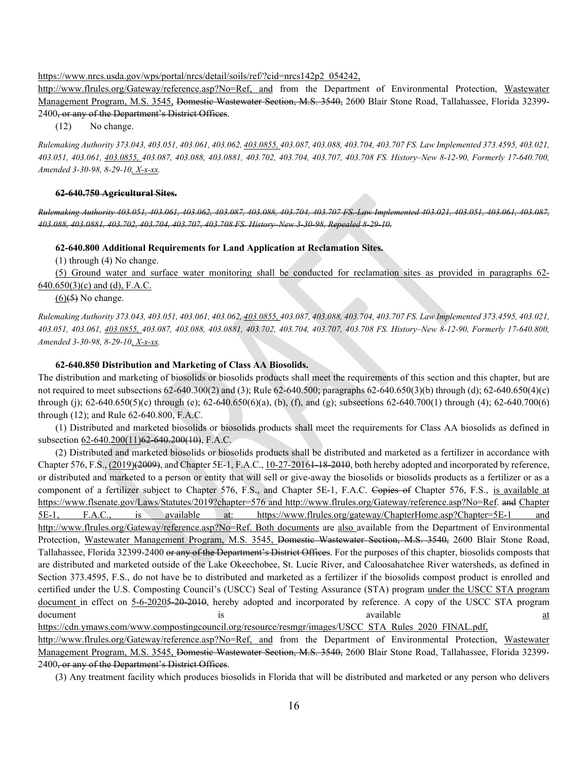https://www.nrcs.usda.gov/wps/portal/nrcs/detail/soils/ref/?cid=nrcs142p2\_054242,

http://www.flrules.org/Gateway/reference.asp?No=Ref, and from the Department of Environmental Protection, Wastewater Management Program, M.S. 3545, Domestic Wastewater Section, M.S. 3540, 2600 Blair Stone Road, Tallahassee, Florida 32399- 2400, or any of the Department's District Offices.

(12) No change.

*Rulemaking Authority 373.043, 403.051, 403.061, 403.062, 403.0855, 403.087, 403.088, 403.704, 403.707 FS. Law Implemented 373.4595, 403.021, 403.051, 403.061, 403.0855, 403.087, 403.088, 403.0881, 403.702, 403.704, 403.707, 403.708 FS. History–New 8-12-90, Formerly 17-640.700, Amended 3-30-98, 8-29-10, X-x-xx.*

#### **62-640.750 Agricultural Sites.**

*Rulemaking Authority 403.051, 403.061, 403.062, 403.087, 403.088, 403.704, 403.707 FS. Law Implemented 403.021, 403.051, 403.061, 403.087, 403.088, 403.0881, 403.702, 403.704, 403.707, 403.708 FS. History–New 3-30-98, Repealed 8-29-10.*

**62-640.800 Additional Requirements for Land Application at Reclamation Sites.**

(1) through (4) No change.

(5) Ground water and surface water monitoring shall be conducted for reclamation sites as provided in paragraphs 62- 640.65 $0(3)$ (c) and (d), F.A.C.

 $(6)(5)$  No change.

*Rulemaking Authority 373.043, 403.051, 403.061, 403.062, 403.0855, 403.087, 403.088, 403.704, 403.707 FS. Law Implemented 373.4595, 403.021, 403.051, 403.061, 403.0855, 403.087, 403.088, 403.0881, 403.702, 403.704, 403.707, 403.708 FS. History–New 8-12-90, Formerly 17-640.800, Amended 3-30-98, 8-29-10, X-x-xx.*

### **62-640.850 Distribution and Marketing of Class AA Biosolids.**

The distribution and marketing of biosolids or biosolids products shall meet the requirements of this section and this chapter, but are not required to meet subsections 62-640.300(2) and (3); Rule 62-640.500; paragraphs 62-640.650(3)(b) through (d); 62-640.650(4)(c) through (j);  $62-640.650(5)$ (c) through (e);  $62-640.650(6)$ (a), (b), (f), and (g); subsections  $62-640.700(1)$  through (4);  $62-640.700(6)$ through (12); and Rule 62-640.800, F.A.C.

(1) Distributed and marketed biosolids or biosolids products shall meet the requirements for Class AA biosolids as defined in subsection 62-640.200(11) 62 640.200(10), F.A.C.

(2) Distributed and marketed biosolids or biosolids products shall be distributed and marketed as a fertilizer in accordance with Chapter 576, F.S.,  $(2019)(2009)$ , and Chapter 5E-1, F.A.C.,  $10-27-20161-18-2010$ , both hereby adopted and incorporated by reference, or distributed and marketed to a person or entity that will sell or give-away the biosolids or biosolids products as a fertilizer or as a component of a fertilizer subject to Chapter 576, F.S., and Chapter 5E-1, F.A.C. Copies of Chapter 576, F.S., is available at https://www.flsenate.gov/Laws/Statutes/2019?chapter=576 and http://www.flrules.org/Gateway/reference.asp?No=Ref. and Chapter 5E-1, F.A.C., is available at: https://www.flrules.org/gateway/ChapterHome.asp?Chapter=5E-1 and http://www.flrules.org/Gateway/reference.asp?No=Ref. Both documents are also available from the Department of Environmental Protection, Wastewater Management Program, M.S. 3545, <del>Domestic Wastewater Section, M.S. 3540,</del> 2600 Blair Stone Road, Tallahassee, Florida 32399-2400 or any of the Department's District Offices. For the purposes of this chapter, biosolids composts that are distributed and marketed outside of the Lake Okeechobee, St. Lucie River, and Caloosahatchee River watersheds, as defined in Section 373.4595, F.S., do not have be to distributed and marketed as a fertilizer if the biosolids compost product is enrolled and certified under the U.S. Composting Council's (USCC) Seal of Testing Assurance (STA) program under the USCC STA program document in effect on 5-6-20205-20-2010, hereby adopted and incorporated by reference. A copy of the USCC STA program document and is the set of the set of the set of the set of the set of the set of the set of the set of the set of the set of the set of the set of the set of the set of the set of the set of the set of the set of the set

https://cdn.ymaws.com/www.compostingcouncil.org/resource/resmgr/images/USCC\_STA\_Rules\_2020\_FINAL.pdf, http://www.flrules.org/Gateway/reference.asp?No=Ref, and from the Department of Environmental Protection, Wastewater Management Program, M.S. 3545, Domestic Wastewater Section, M.S. 3540, 2600 Blair Stone Road, Tallahassee, Florida 32399- 2400, or any of the Department's District Offices.

(3) Any treatment facility which produces biosolids in Florida that will be distributed and marketed or any person who delivers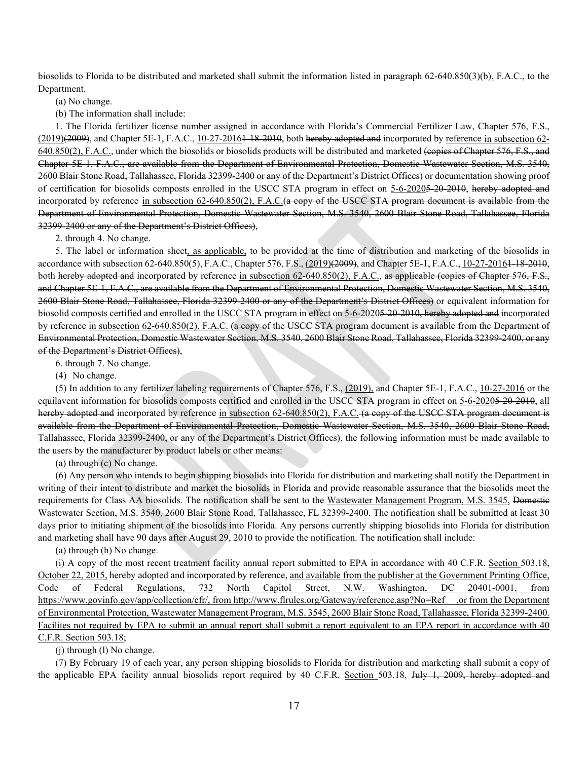biosolids to Florida to be distributed and marketed shall submit the information listed in paragraph 62-640.850(3)(b), F.A.C., to the Department.

(a) No change.

(b) The information shall include:

1. The Florida fertilizer license number assigned in accordance with Florida's Commercial Fertilizer Law, Chapter 576, F.S.,  $(2019)$  $(2099)$ , and Chapter 5E-1, F.A.C., 10-27-20161-18-2010, both hereby adopted and incorporated by reference in subsection 62- $640.850(2)$ , F.A.C., under which the biosolids or biosolids products will be distributed and marketed (copies of Chapter 576, F.S., and Chapter 5E-1, F.A.C., are available from the Department of Environmental Protection, Domestic Wastewater Section, M.S. 3540, 2600 Blair Stone Road, Tallahassee, Florida 32399-2400 or any of the Department's District Offices) or documentation showing proof of certification for biosolids composts enrolled in the USCC STA program in effect on 5-6-20205-20-2010, hereby adopted and incorporated by reference in subsection 62-640.850(2), F.A.C.(a copy of the USCC STA program document is available from the Department of Environmental Protection, Domestic Wastewater Section, M.S. 3540, 2600 Blair Stone Road, Tallahassee, Florida 32399-2400 or any of the Department's District Offices),

2. through 4. No change.

5. The label or information sheet, as applicable, to be provided at the time of distribution and marketing of the biosolids in accordance with subsection 62-640.850(5), F.A.C., Chapter 576, F.S., (2019)(2009), and Chapter 5E-1, F.A.C., 10-27-20161-18-2010, both hereby adopted and incorporated by reference in subsection 62-640.850(2), F.A.C., as applicable (copies of Chapter 576, F.S., and Chapter 5E-1, F.A.C., are available from the Department of Environmental Protection, Domestic Wastewater Section, M.S. 3540, 2600 Blair Stone Road, Tallahassee, Florida 32399-2400 or any of the Department's District Offices) or equivalent information for biosolid composts certified and enrolled in the USCC STA program in effect on 5-6-2020<del>5-20-2010, hereby adopted and</del> incorporated by reference in subsection 62-640.850(2), F.A.C. (a copy of the USCC STA program document is available from the Department of Environmental Protection, Domestic Wastewater Section, M.S. 3540, 2600 Blair Stone Road, Tallahassee, Florida 32399-2400, or any of the Department's District Offices),

6. through 7. No change.

(4) No change.

(5) In addition to any fertilizer labeling requirements of Chapter 576, F.S., (2019), and Chapter 5E-1, F.A.C., 10-27-2016 or the equilavent information for biosolids composts certified and enrolled in the USCC STA program in effect on 5-6-20205-20-2010, all hereby adopted and incorporated by reference in subsection 62-640.850(2), F.A.C. (a copy of the USCC STA program document is available from the Department of Environmental Protection, Domestic Wastewater Section, M.S. 3540, 2600 Blair Stone Road, Tallahassee, Florida 32399-2400, or any of the Department's District Offices), the following information must be made available to the users by the manufacturer by product labels or other means:

(a) through (c) No change.

(6) Any person who intends to begin shipping biosolids into Florida for distribution and marketing shall notify the Department in writing of their intent to distribute and market the biosolids in Florida and provide reasonable assurance that the biosolids meet the requirements for Class AA biosolids. The notification shall be sent to the Wastewater Management Program, M.S. 3545, Domestic Wastewater Section, M.S. 3540, 2600 Blair Stone Road, Tallahassee, FL 32399-2400. The notification shall be submitted at least 30 days prior to initiating shipment of the biosolids into Florida. Any persons currently shipping biosolids into Florida for distribution and marketing shall have 90 days after August 29, 2010 to provide the notification. The notification shall include:

(a) through (h) No change.

(i) A copy of the most recent treatment facility annual report submitted to EPA in accordance with 40 C.F.R. Section 503.18, October 22, 2015, hereby adopted and incorporated by reference, and available from the publisher at the Government Printing Office, Code of Federal Regulations, 732 North Capitol Street, N.W. Washington, DC 20401-0001, from https://www.govinfo.gov/app/collection/cfr/, from http://www.flrules.org/Gateway/reference.asp?No=Ref ,or from the Department of Environmental Protection, Wastewater Management Program, M.S. 3545, 2600 Blair Stone Road, Tallahassee, Florida 32399-2400. Facilites not required by EPA to submit an annual report shall submit a report equivalent to an EPA report in accordance with 40 C.F.R. Section 503.18;

(j) through (l) No change.

(7) By February 19 of each year, any person shipping biosolids to Florida for distribution and marketing shall submit a copy of the applicable EPA facility annual biosolids report required by 40 C.F.R. Section 503.18, July 1, 2009, hereby adopted and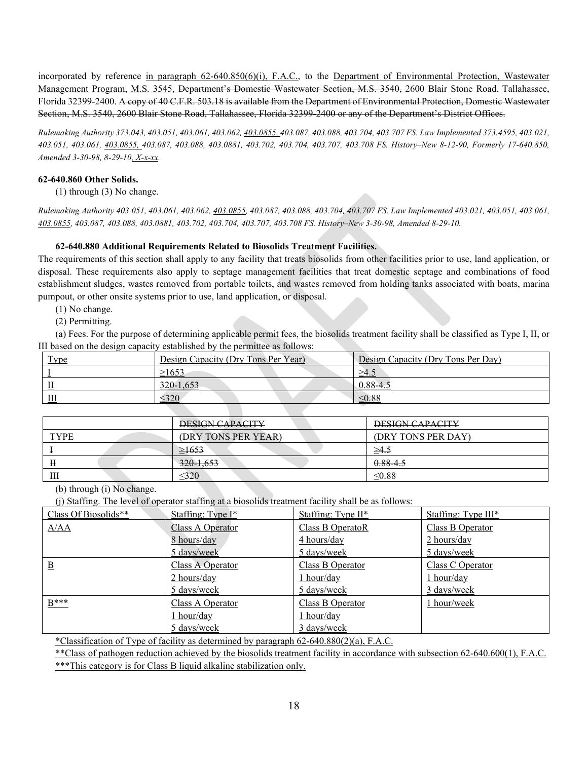incorporated by reference in paragraph 62-640.850(6)(i), F.A.C., to the Department of Environmental Protection, Wastewater Management Program, M.S. 3545, <del>Department's Domestic Wastewater Section, M.S. 3540,</del> 2600 Blair Stone Road, Tallahassee, Florida 32399-2400. A copy of 40 C.F.R. 503.18 is available from the Department of Environmental Protection, Domestic Wastewater Section, M.S. 3540, 2600 Blair Stone Road, Tallahassee, Florida 32399-2400 or any of the Department's District Offices.

*Rulemaking Authority 373.043, 403.051, 403.061, 403.062, 403.0855, 403.087, 403.088, 403.704, 403.707 FS. Law Implemented 373.4595, 403.021, 403.051, 403.061, 403.0855, 403.087, 403.088, 403.0881, 403.702, 403.704, 403.707, 403.708 FS. History–New 8-12-90, Formerly 17-640.850, Amended 3-30-98, 8-29-10, X-x-xx.*

# **62-640.860 Other Solids.**

(1) through (3) No change.

*Rulemaking Authority 403.051, 403.061, 403.062, 403.0855, 403.087, 403.088, 403.704, 403.707 FS. Law Implemented 403.021, 403.051, 403.061, 403.0855, 403.087, 403.088, 403.0881, 403.702, 403.704, 403.707, 403.708 FS. History–New 3-30-98, Amended 8-29-10.*

# **62-640.880 Additional Requirements Related to Biosolids Treatment Facilities.**

The requirements of this section shall apply to any facility that treats biosolids from other facilities prior to use, land application, or disposal. These requirements also apply to septage management facilities that treat domestic septage and combinations of food establishment sludges, wastes removed from portable toilets, and wastes removed from holding tanks associated with boats, marina pumpout, or other onsite systems prior to use, land application, or disposal.

- (1) No change.
- (2) Permitting.

(a) Fees. For the purpose of determining applicable permit fees, the biosolids treatment facility shall be classified as Type I, II, or III based on the design capacity established by the permittee as follows:

| <b>Type</b> | Design Capacity (Dry Tons Per Year) | Design Capacity (Dry Tons Per Day) |
|-------------|-------------------------------------|------------------------------------|
|             | >1653                               | $\geq 4.5$                         |
|             | 320-1,653                           | $0.88 - 4.$                        |
| $III$       | 520                                 | $\leq 0.88$                        |

|             | <b>DESIGN CAPACITY</b>                               | <b>DESIGN CAPACITY</b>                                          |
|-------------|------------------------------------------------------|-----------------------------------------------------------------|
| <b>TYPE</b> | (DRV TONS PER VEAR)<br><del>UNI IVRJILIN IL/IN</del> | <u>(DRV TANS PER DAV)</u><br><del>UMI IVNJILIN<i>DI</i>II</del> |
|             | $\geq 1653$                                          | 24.5                                                            |
| Н           | $320 - 1653$<br><del>, , , , , , , , , , , , ,</del> | 0.88 4.5                                                        |
| H           | $-320$                                               | $\leq 0.88$                                                     |

(b) through (i) No change.

(j) Staffing. The level of operator staffing at a biosolids treatment facility shall be as follows:

| Class Of Biosolids** | Staffing: Type $I^*$ | Staffing: Type $II^*$ | Staffing: Type III* |
|----------------------|----------------------|-----------------------|---------------------|
| A/AA                 | Class A Operator     | Class B OperatoR      | Class B Operator    |
|                      | 8 hours/day          | 4 hours/day           | 2 hours/day         |
|                      | 5 days/week          | 5 days/week           | 5 days/week         |
| $\overline{B}$       | Class A Operator     | Class B Operator      | Class C Operator    |
|                      | $2$ hours/day        | $1$ hour/day          | 1 hour/day          |
|                      | 5 days/week          | 5 days/week           | 3 days/week         |
| $B***$               | Class A Operator     | Class B Operator      | 1 hour/week         |
|                      | 1 hour/day           | 1 hour/day            |                     |
|                      | 5 days/week          | 3 days/week           |                     |

\*Classification of Type of facility as determined by paragraph 62-640.880(2)(a), F.A.C.

\*\*Class of pathogen reduction achieved by the biosolids treatment facility in accordance with subsection 62-640.600(1), F.A.C. \*\*\*This category is for Class B liquid alkaline stabilization only.